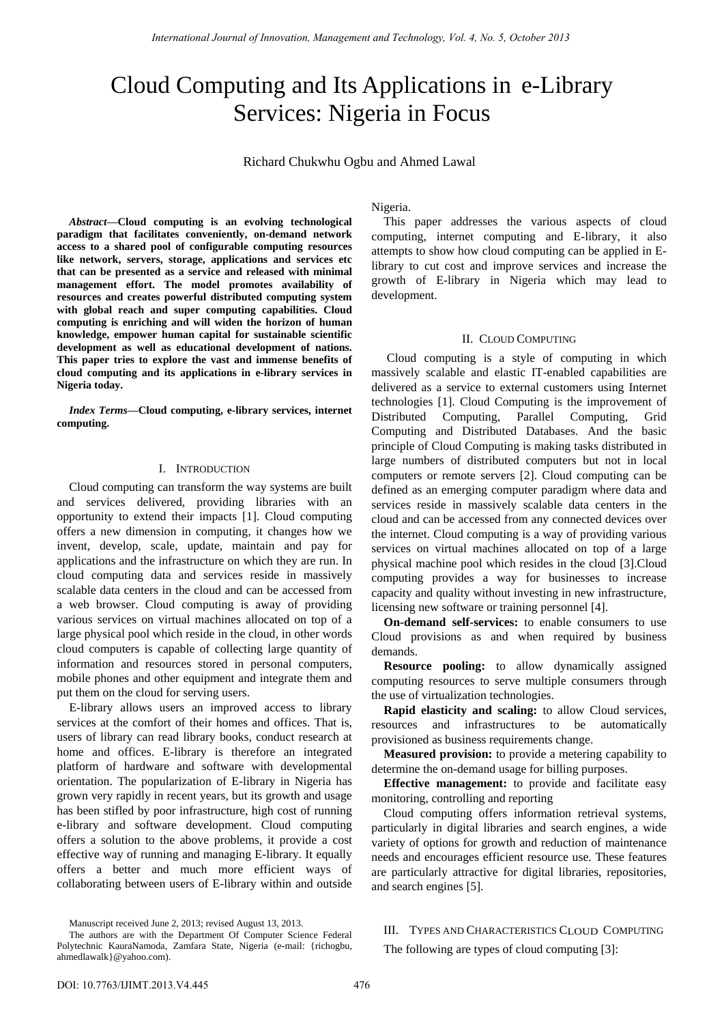# Cloud Computing and Its Applications in e-Library Services: Nigeria in Focus

Richard Chukwhu Ogbu and Ahmed Lawal

Nigeria.

*Abstract***—Cloud computing is an evolving technological paradigm that facilitates conveniently, on-demand network access to a shared pool of configurable computing resources like network, servers, storage, applications and services etc that can be presented as a service and released with minimal management effort. The model promotes availability of resources and creates powerful distributed computing system with global reach and super computing capabilities. Cloud computing is enriching and will widen the horizon of human knowledge, empower human capital for sustainable scientific development as well as educational development of nations. This paper tries to explore the vast and immense benefits of cloud computing and its applications in e-library services in Nigeria today.** 

*Index Terms***—Cloud computing, e-library services, internet computing.** 

#### I. INTRODUCTION

Cloud computing can transform the way systems are built and services delivered, providing libraries with an opportunity to extend their impacts [1]. Cloud computing offers a new dimension in computing, it changes how we invent, develop, scale, update, maintain and pay for applications and the infrastructure on which they are run. In cloud computing data and services reside in massively scalable data centers in the cloud and can be accessed from a web browser. Cloud computing is away of providing various services on virtual machines allocated on top of a large physical pool which reside in the cloud, in other words cloud computers is capable of collecting large quantity of information and resources stored in personal computers, mobile phones and other equipment and integrate them and put them on the cloud for serving users.

E-library allows users an improved access to library services at the comfort of their homes and offices. That is, users of library can read library books, conduct research at home and offices. E-library is therefore an integrated platform of hardware and software with developmental orientation. The popularization of E-library in Nigeria has grown very rapidly in recent years, but its growth and usage has been stifled by poor infrastructure, high cost of running e-library and software development. Cloud computing offers a solution to the above problems, it provide a cost effective way of running and managing E-library. It equally offers a better and much more efficient ways of collaborating between users of E-library within and outside

This paper addresses the various aspects of cloud computing, internet computing and E-library, it also attempts to show how cloud computing can be applied in Elibrary to cut cost and improve services and increase the growth of E-library in Nigeria which may lead to development.

#### II. CLOUD COMPUTING

 Cloud computing is a style of computing in which massively scalable and elastic IT-enabled capabilities are delivered as a service to external customers using Internet technologies [1]. Cloud Computing is the improvement of Distributed Computing, Parallel Computing, Grid Computing and Distributed Databases. And the basic principle of Cloud Computing is making tasks distributed in large numbers of distributed computers but not in local computers or remote servers [2]. Cloud computing can be defined as an emerging computer paradigm where data and services reside in massively scalable data centers in the cloud and can be accessed from any connected devices over the internet. Cloud computing is a way of providing various services on virtual machines allocated on top of a large physical machine pool which resides in the cloud [3].Cloud computing provides a way for businesses to increase capacity and quality without investing in new infrastructure, licensing new software or training personnel [4].

**On-demand self-services:** to enable consumers to use Cloud provisions as and when required by business demands.

**Resource pooling:** to allow dynamically assigned computing resources to serve multiple consumers through the use of virtualization technologies.

**Rapid elasticity and scaling:** to allow Cloud services, resources and infrastructures to be automatically provisioned as business requirements change.

**Measured provision:** to provide a metering capability to determine the on-demand usage for billing purposes.

**Effective management:** to provide and facilitate easy monitoring, controlling and reporting

Cloud computing offers information retrieval systems, particularly in digital libraries and search engines, a wide variety of options for growth and reduction of maintenance needs and encourages efficient resource use. These features are particularly attractive for digital libraries, repositories, and search engines [5].

## III. TYPES AND CHARACTERISTICS CLOUD COMPUTING

The following are types of cloud computing [3]:

Manuscript received June 2, 2013; revised August 13, 2013.

The authors are with the Department Of Computer Science Federal Polytechnic KauraNamoda, Zamfara State, Nigeria (e-mail: [{richogbu,](mailto:richogbu,%20ahmedlawalk%7d@yahoo.com)  [ahmedlawalk}@yahoo.com\)](mailto:richogbu,%20ahmedlawalk%7d@yahoo.com).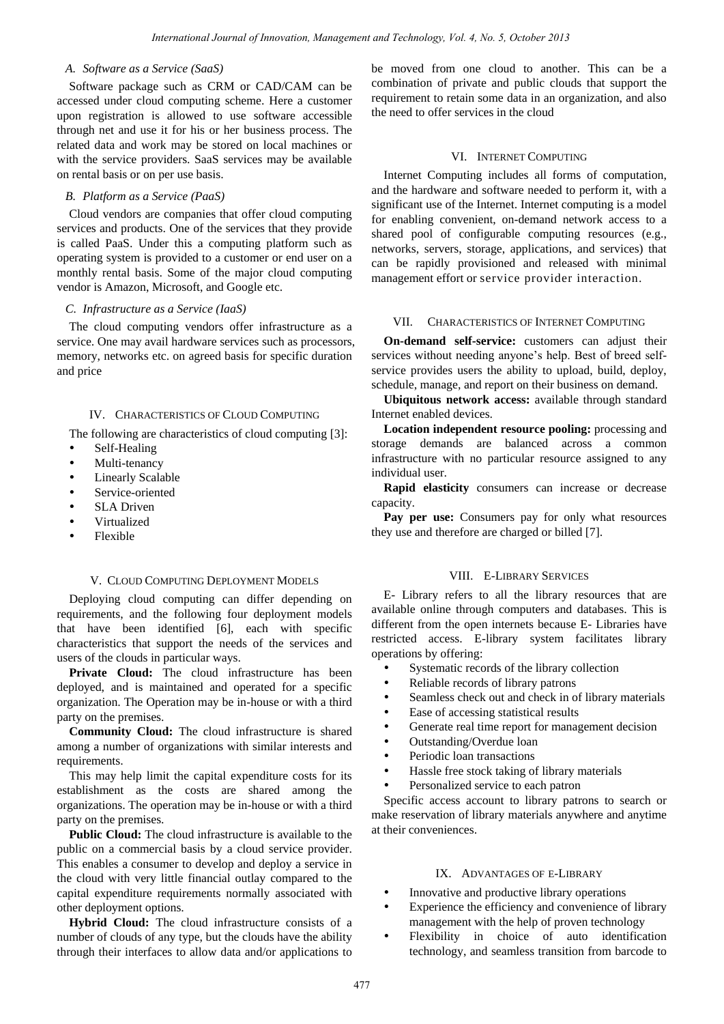#### *A. Software as a Service (SaaS)*

Software package such as CRM or CAD/CAM can be accessed under cloud computing scheme. Here a customer upon registration is allowed to use software accessible through net and use it for his or her business process. The related data and work may be stored on local machines or with the service providers. SaaS services may be available on rental basis or on per use basis.

#### *B. Platform as a Service (PaaS)*

Cloud vendors are companies that offer cloud computing services and products. One of the services that they provide is called PaaS. Under this a computing platform such as operating system is provided to a customer or end user on a monthly rental basis. Some of the major cloud computing vendor is Amazon, Microsoft, and Google etc.

#### *C. Infrastructure as a Service (IaaS)*

The cloud computing vendors offer infrastructure as a service. One may avail hardware services such as processors, memory, networks etc. on agreed basis for specific duration and price

#### IV. CHARACTERISTICS OF CLOUD COMPUTING

The following are characteristics of cloud computing [3]:

- Self-Healing
- Multi-tenancy
- Linearly Scalable
- Service-oriented
- SLA Driven
- Virtualized
- Flexible

#### V. CLOUD COMPUTING DEPLOYMENT MODELS

Deploying cloud computing can differ depending on requirements, and the following four deployment models that have been identified [6], each with specific characteristics that support the needs of the services and users of the clouds in particular ways.

**Private Cloud:** The cloud infrastructure has been deployed, and is maintained and operated for a specific organization. The Operation may be in-house or with a third party on the premises.

**Community Cloud:** The cloud infrastructure is shared among a number of organizations with similar interests and requirements.

This may help limit the capital expenditure costs for its establishment as the costs are shared among the organizations. The operation may be in-house or with a third party on the premises.

**Public Cloud:** The cloud infrastructure is available to the public on a commercial basis by a cloud service provider. This enables a consumer to develop and deploy a service in the cloud with very little financial outlay compared to the capital expenditure requirements normally associated with other deployment options.

**Hybrid Cloud:** The cloud infrastructure consists of a number of clouds of any type, but the clouds have the ability through their interfaces to allow data and/or applications to

be moved from one cloud to another. This can be a combination of private and public clouds that support the requirement to retain some data in an organization, and also the need to offer services in the cloud

#### VI. INTERNET COMPUTING

Internet Computing includes all forms of computation, and the hardware and software needed to perform it, with a significant use of the Internet. Internet computing is a model for enabling convenient, on-demand network access to a shared pool of configurable computing resources (e.g., networks, servers, storage, applications, and services) that can be rapidly provisioned and released with minimal management effort or service provider interaction.

#### VII. CHARACTERISTICS OF INTERNET COMPUTING

**On-demand self-service:** customers can adjust their services without needing anyone's help. Best of breed selfservice provides users the ability to upload, build, deploy, schedule, manage, and report on their business on demand.

**Ubiquitous network access:** available through standard Internet enabled devices.

**Location independent resource pooling:** processing and storage demands are balanced across a common infrastructure with no particular resource assigned to any individual user.

**Rapid elasticity** consumers can increase or decrease capacity.

Pay per use: Consumers pay for only what resources they use and therefore are charged or billed [7].

#### VIII. E-LIBRARY SERVICES

E- Library refers to all the library resources that are available online through computers and databases. This is different from the open internets because E- Libraries have restricted access. E-library system facilitates library operations by offering:

- Systematic records of the library collection
- Reliable records of library patrons
- Seamless check out and check in of library materials
- Ease of accessing statistical results
- Generate real time report for management decision
- Outstanding/Overdue loan
- Periodic loan transactions
- Hassle free stock taking of library materials
- Personalized service to each patron

Specific access account to library patrons to search or make reservation of library materials anywhere and anytime at their conveniences.

#### IX. ADVANTAGES OF E-LIBRARY

- Innovative and productive library operations
- Experience the efficiency and convenience of library management with the help of proven technology
- Flexibility in choice of auto identification technology, and seamless transition from barcode to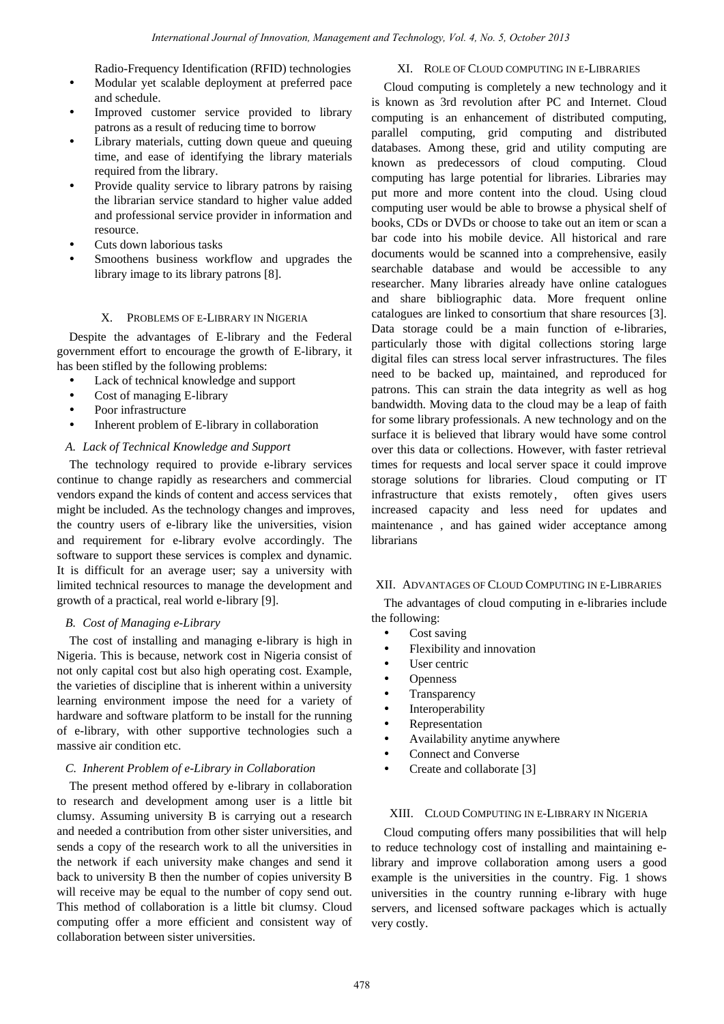Radio-Frequency Identification (RFID) technologies

- Modular yet scalable deployment at preferred pace and schedule.
- Improved customer service provided to library patrons as a result of reducing time to borrow
- Library materials, cutting down queue and queuing time, and ease of identifying the library materials required from the library.
- Provide quality service to library patrons by raising the librarian service standard to higher value added and professional service provider in information and resource.
- Cuts down laborious tasks
- Smoothens business workflow and upgrades the library image to its library patrons [8].

#### X. PROBLEMS OF E-LIBRARY IN NIGERIA

Despite the advantages of E-library and the Federal government effort to encourage the growth of E-library, it has been stifled by the following problems:

- Lack of technical knowledge and support
- Cost of managing E-library
- Poor infrastructure
- Inherent problem of E-library in collaboration

### *A. Lack of Technical Knowledge and Support*

The technology required to provide e-library services continue to change rapidly as researchers and commercial vendors expand the kinds of content and access services that might be included. As the technology changes and improves, the country users of e-library like the universities, vision and requirement for e-library evolve accordingly. The software to support these services is complex and dynamic. It is difficult for an average user; say a university with limited technical resources to manage the development and growth of a practical, real world e-library [9].

#### *B. Cost of Managing e-Library*

The cost of installing and managing e-library is high in Nigeria. This is because, network cost in Nigeria consist of not only capital cost but also high operating cost. Example, the varieties of discipline that is inherent within a university learning environment impose the need for a variety of hardware and software platform to be install for the running of e-library, with other supportive technologies such a massive air condition etc.

#### *C. Inherent Problem of e-Library in Collaboration*

The present method offered by e-library in collaboration to research and development among user is a little bit clumsy. Assuming university B is carrying out a research and needed a contribution from other sister universities, and sends a copy of the research work to all the universities in the network if each university make changes and send it back to university B then the number of copies university B will receive may be equal to the number of copy send out. This method of collaboration is a little bit clumsy. Cloud computing offer a more efficient and consistent way of collaboration between sister universities.

#### XI. ROLE OF CLOUD COMPUTING IN E-LIBRARIES

Cloud computing is completely a new technology and it is known as 3rd revolution after PC and Internet. Cloud computing is an enhancement of distributed computing, parallel computing, grid computing and distributed databases. Among these, grid and utility computing are known as predecessors of cloud computing. Cloud computing has large potential for libraries. Libraries may put more and more content into the cloud. Using cloud computing user would be able to browse a physical shelf of books, CDs or DVDs or choose to take out an item or scan a bar code into his mobile device. All historical and rare documents would be scanned into a comprehensive, easily searchable database and would be accessible to any researcher. Many libraries already have online catalogues and share bibliographic data. More frequent online catalogues are linked to consortium that share resources [3]. Data storage could be a main function of e-libraries, particularly those with digital collections storing large digital files can stress local server infrastructures. The files need to be backed up, maintained, and reproduced for patrons. This can strain the data integrity as well as hog bandwidth. Moving data to the cloud may be a leap of faith for some library professionals. A new technology and on the surface it is believed that library would have some control over this data or collections. However, with faster retrieval times for requests and local server space it could improve storage solutions for libraries. Cloud computing or IT increased capacity and less need for updates and maintenance , and has gained wider acceptance among librarians infrastructure that exists remotely, often gives users

#### XII. ADVANTAGES OF CLOUD COMPUTING IN E-LIBRARIES

The advantages of cloud computing in e-libraries include the following:

- Cost saving
- Flexibility and innovation
- User centric
- **Openness**
- Transparency
- Interoperability
- Representation
- Availability anytime anywhere
- Connect and Converse
- Create and collaborate [3]

#### XIII. CLOUD COMPUTING IN E-LIBRARY IN NIGERIA

Cloud computing offers many possibilities that will help to reduce technology cost of installing and maintaining elibrary and improve collaboration among users a good example is the universities in the country. Fig. 1 shows universities in the country running e-library with huge servers, and licensed software packages which is actually very costly.